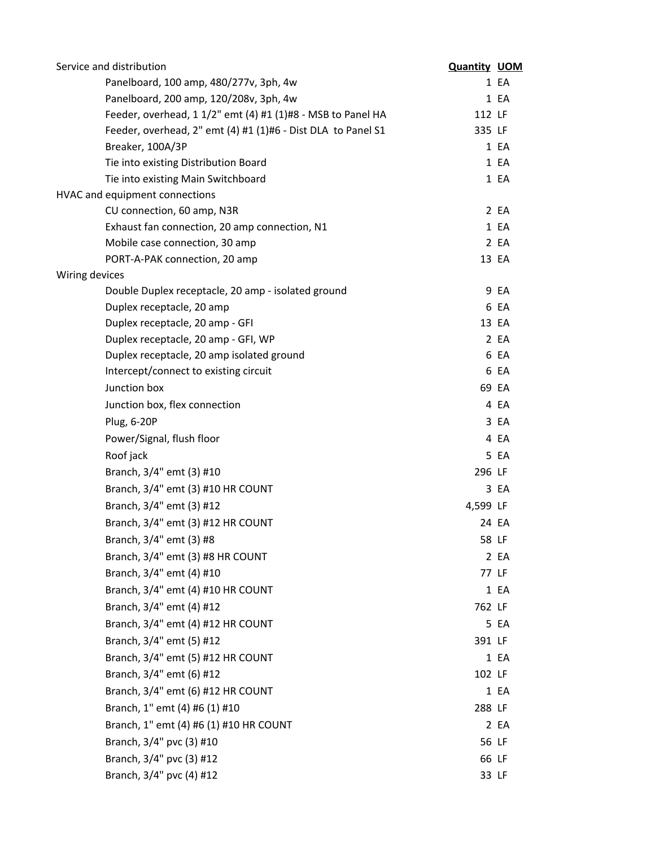| Service and distribution                                     | <b>Quantity UOM</b> |       |
|--------------------------------------------------------------|---------------------|-------|
| Panelboard, 100 amp, 480/277v, 3ph, 4w                       |                     | 1 EA  |
| Panelboard, 200 amp, 120/208v, 3ph, 4w                       |                     | 1 EA  |
| Feeder, overhead, 1 1/2" emt (4) #1 (1)#8 - MSB to Panel HA  | 112 LF              |       |
| Feeder, overhead, 2" emt (4) #1 (1)#6 - Dist DLA to Panel S1 | 335 LF              |       |
| Breaker, 100A/3P                                             |                     | 1 EA  |
| Tie into existing Distribution Board                         |                     | 1 EA  |
| Tie into existing Main Switchboard                           |                     | 1 EA  |
| HVAC and equipment connections                               |                     |       |
| CU connection, 60 amp, N3R                                   |                     | 2EA   |
| Exhaust fan connection, 20 amp connection, N1                |                     | 1 EA  |
| Mobile case connection, 30 amp                               |                     | 2 EA  |
| PORT-A-PAK connection, 20 amp                                |                     | 13 EA |
| Wiring devices                                               |                     |       |
| Double Duplex receptacle, 20 amp - isolated ground           |                     | 9 EA  |
| Duplex receptacle, 20 amp                                    |                     | 6 EA  |
| Duplex receptacle, 20 amp - GFI                              |                     | 13 EA |
| Duplex receptacle, 20 amp - GFI, WP                          |                     | 2 EA  |
| Duplex receptacle, 20 amp isolated ground                    |                     | 6 EA  |
| Intercept/connect to existing circuit                        |                     | 6 EA  |
| Junction box                                                 |                     | 69 EA |
| Junction box, flex connection                                |                     | 4 EA  |
| Plug, 6-20P                                                  |                     | 3 EA  |
| Power/Signal, flush floor                                    |                     | 4 EA  |
| Roof jack                                                    |                     | 5 EA  |
| Branch, 3/4" emt (3) #10                                     | 296 LF              |       |
| Branch, 3/4" emt (3) #10 HR COUNT                            |                     | 3 EA  |
| Branch, 3/4" emt (3) #12                                     | 4,599 LF            |       |
| Branch, 3/4" emt (3) #12 HR COUNT                            |                     | 24 EA |
| Branch, 3/4" emt (3) #8                                      |                     | 58 LF |
| Branch, 3/4" emt (3) #8 HR COUNT                             |                     | 2 EA  |
| Branch, 3/4" emt (4) #10                                     |                     | 77 LF |
| Branch, 3/4" emt (4) #10 HR COUNT                            |                     | 1 EA  |
| Branch, 3/4" emt (4) #12                                     | 762 LF              |       |
| Branch, 3/4" emt (4) #12 HR COUNT                            |                     | 5 EA  |
| Branch, 3/4" emt (5) #12                                     | 391 LF              |       |
| Branch, 3/4" emt (5) #12 HR COUNT                            |                     | 1 EA  |
| Branch, 3/4" emt (6) #12                                     | 102 LF              |       |
| Branch, 3/4" emt (6) #12 HR COUNT                            |                     | 1 EA  |
| Branch, 1" emt (4) #6 (1) #10                                | 288 LF              |       |
| Branch, 1" emt (4) #6 (1) #10 HR COUNT                       |                     | 2 EA  |
| Branch, 3/4" pvc (3) #10                                     |                     | 56 LF |
| Branch, 3/4" pvc (3) #12                                     |                     | 66 LF |
| Branch, 3/4" pvc (4) #12                                     |                     | 33 LF |
|                                                              |                     |       |